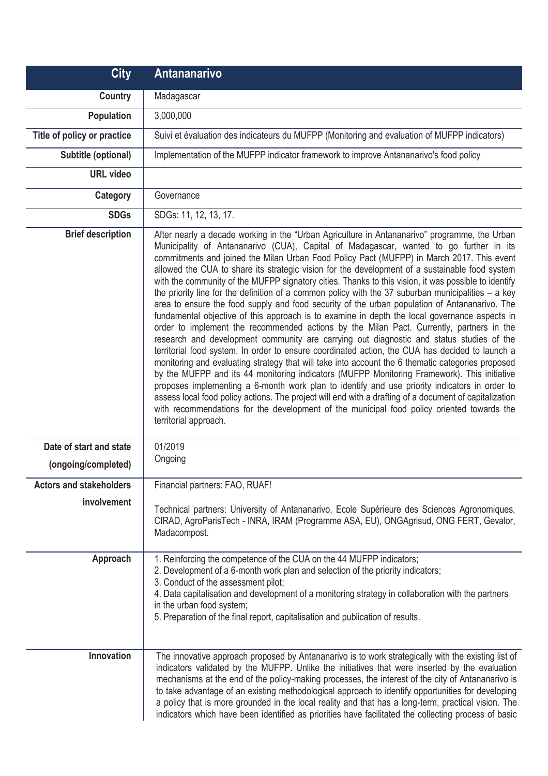| <b>City</b>                    | Antananarivo                                                                                                                                                                                                                                                                                                                                                                                                                                                                                                                                                                                                                                                                                                                                                                                                                                                                                                                                                                                                                                                                                                                                                                                                                                                                                                                                                                                                                                                                                                                                                                                                                               |
|--------------------------------|--------------------------------------------------------------------------------------------------------------------------------------------------------------------------------------------------------------------------------------------------------------------------------------------------------------------------------------------------------------------------------------------------------------------------------------------------------------------------------------------------------------------------------------------------------------------------------------------------------------------------------------------------------------------------------------------------------------------------------------------------------------------------------------------------------------------------------------------------------------------------------------------------------------------------------------------------------------------------------------------------------------------------------------------------------------------------------------------------------------------------------------------------------------------------------------------------------------------------------------------------------------------------------------------------------------------------------------------------------------------------------------------------------------------------------------------------------------------------------------------------------------------------------------------------------------------------------------------------------------------------------------------|
| <b>Country</b>                 | Madagascar                                                                                                                                                                                                                                                                                                                                                                                                                                                                                                                                                                                                                                                                                                                                                                                                                                                                                                                                                                                                                                                                                                                                                                                                                                                                                                                                                                                                                                                                                                                                                                                                                                 |
| Population                     | 3,000,000                                                                                                                                                                                                                                                                                                                                                                                                                                                                                                                                                                                                                                                                                                                                                                                                                                                                                                                                                                                                                                                                                                                                                                                                                                                                                                                                                                                                                                                                                                                                                                                                                                  |
| Title of policy or practice    | Suivi et évaluation des indicateurs du MUFPP (Monitoring and evaluation of MUFPP indicators)                                                                                                                                                                                                                                                                                                                                                                                                                                                                                                                                                                                                                                                                                                                                                                                                                                                                                                                                                                                                                                                                                                                                                                                                                                                                                                                                                                                                                                                                                                                                               |
| Subtitle (optional)            | Implementation of the MUFPP indicator framework to improve Antananarivo's food policy                                                                                                                                                                                                                                                                                                                                                                                                                                                                                                                                                                                                                                                                                                                                                                                                                                                                                                                                                                                                                                                                                                                                                                                                                                                                                                                                                                                                                                                                                                                                                      |
| <b>URL</b> video               |                                                                                                                                                                                                                                                                                                                                                                                                                                                                                                                                                                                                                                                                                                                                                                                                                                                                                                                                                                                                                                                                                                                                                                                                                                                                                                                                                                                                                                                                                                                                                                                                                                            |
| Category                       | Governance                                                                                                                                                                                                                                                                                                                                                                                                                                                                                                                                                                                                                                                                                                                                                                                                                                                                                                                                                                                                                                                                                                                                                                                                                                                                                                                                                                                                                                                                                                                                                                                                                                 |
| <b>SDGs</b>                    | SDGs: 11, 12, 13, 17.                                                                                                                                                                                                                                                                                                                                                                                                                                                                                                                                                                                                                                                                                                                                                                                                                                                                                                                                                                                                                                                                                                                                                                                                                                                                                                                                                                                                                                                                                                                                                                                                                      |
| <b>Brief description</b>       | After nearly a decade working in the "Urban Agriculture in Antananarivo" programme, the Urban<br>Municipality of Antananarivo (CUA), Capital of Madagascar, wanted to go further in its<br>commitments and joined the Milan Urban Food Policy Pact (MUFPP) in March 2017. This event<br>allowed the CUA to share its strategic vision for the development of a sustainable food system<br>with the community of the MUFPP signatory cities. Thanks to this vision, it was possible to identify<br>the priority line for the definition of a common policy with the 37 suburban municipalities $-$ a key<br>area to ensure the food supply and food security of the urban population of Antananarivo. The<br>fundamental objective of this approach is to examine in depth the local governance aspects in<br>order to implement the recommended actions by the Milan Pact. Currently, partners in the<br>research and development community are carrying out diagnostic and status studies of the<br>territorial food system. In order to ensure coordinated action, the CUA has decided to launch a<br>monitoring and evaluating strategy that will take into account the 6 thematic categories proposed<br>by the MUFPP and its 44 monitoring indicators (MUFPP Monitoring Framework). This initiative<br>proposes implementing a 6-month work plan to identify and use priority indicators in order to<br>assess local food policy actions. The project will end with a drafting of a document of capitalization<br>with recommendations for the development of the municipal food policy oriented towards the<br>territorial approach. |
| Date of start and state        | 01/2019                                                                                                                                                                                                                                                                                                                                                                                                                                                                                                                                                                                                                                                                                                                                                                                                                                                                                                                                                                                                                                                                                                                                                                                                                                                                                                                                                                                                                                                                                                                                                                                                                                    |
| (ongoing/completed)            | Ongoing                                                                                                                                                                                                                                                                                                                                                                                                                                                                                                                                                                                                                                                                                                                                                                                                                                                                                                                                                                                                                                                                                                                                                                                                                                                                                                                                                                                                                                                                                                                                                                                                                                    |
| <b>Actors and stakeholders</b> | Financial partners: FAO, RUAF!                                                                                                                                                                                                                                                                                                                                                                                                                                                                                                                                                                                                                                                                                                                                                                                                                                                                                                                                                                                                                                                                                                                                                                                                                                                                                                                                                                                                                                                                                                                                                                                                             |
| involvement                    | Technical partners: University of Antananarivo, Ecole Supérieure des Sciences Agronomiques,<br>CIRAD, AgroParisTech - INRA, IRAM (Programme ASA, EU), ONGAgrisud, ONG FERT, Gevalor,<br>Madacompost.                                                                                                                                                                                                                                                                                                                                                                                                                                                                                                                                                                                                                                                                                                                                                                                                                                                                                                                                                                                                                                                                                                                                                                                                                                                                                                                                                                                                                                       |
| Approach<br>Innovation         | 1. Reinforcing the competence of the CUA on the 44 MUFPP indicators;<br>2. Development of a 6-month work plan and selection of the priority indicators;<br>3. Conduct of the assessment pilot;<br>4. Data capitalisation and development of a monitoring strategy in collaboration with the partners<br>in the urban food system;<br>5. Preparation of the final report, capitalisation and publication of results.<br>The innovative approach proposed by Antananarivo is to work strategically with the existing list of                                                                                                                                                                                                                                                                                                                                                                                                                                                                                                                                                                                                                                                                                                                                                                                                                                                                                                                                                                                                                                                                                                                 |
|                                | indicators validated by the MUFPP. Unlike the initiatives that were inserted by the evaluation<br>mechanisms at the end of the policy-making processes, the interest of the city of Antananarivo is<br>to take advantage of an existing methodological approach to identify opportunities for developing<br>a policy that is more grounded in the local reality and that has a long-term, practical vision. The<br>indicators which have been identified as priorities have facilitated the collecting process of basic                                                                                                                                                                                                                                                                                                                                                                                                                                                                                                                                                                                                                                                                                                                                                                                                                                                                                                                                                                                                                                                                                                                    |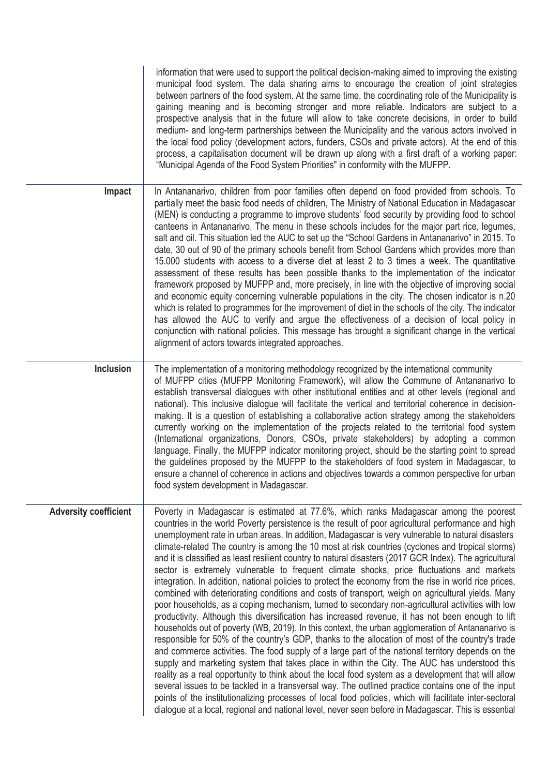|                              | information that were used to support the political decision-making aimed to improving the existing<br>municipal food system. The data sharing aims to encourage the creation of joint strategies<br>between partners of the food system. At the same time, the coordinating role of the Municipality is<br>gaining meaning and is becoming stronger and more reliable. Indicators are subject to a<br>prospective analysis that in the future will allow to take concrete decisions, in order to build<br>medium- and long-term partnerships between the Municipality and the various actors involved in<br>the local food policy (development actors, funders, CSOs and private actors). At the end of this<br>process, a capitalisation document will be drawn up along with a first draft of a working paper:<br>"Municipal Agenda of the Food System Priorities" in conformity with the MUFPP.                                                                                                                                                                                                                                                                                                                                                                                                                                                                                                                                                                                                                                                                                                                                                                                                                                                                                                                                                                                  |
|------------------------------|--------------------------------------------------------------------------------------------------------------------------------------------------------------------------------------------------------------------------------------------------------------------------------------------------------------------------------------------------------------------------------------------------------------------------------------------------------------------------------------------------------------------------------------------------------------------------------------------------------------------------------------------------------------------------------------------------------------------------------------------------------------------------------------------------------------------------------------------------------------------------------------------------------------------------------------------------------------------------------------------------------------------------------------------------------------------------------------------------------------------------------------------------------------------------------------------------------------------------------------------------------------------------------------------------------------------------------------------------------------------------------------------------------------------------------------------------------------------------------------------------------------------------------------------------------------------------------------------------------------------------------------------------------------------------------------------------------------------------------------------------------------------------------------------------------------------------------------------------------------------------------------|
| Impact                       | In Antananarivo, children from poor families often depend on food provided from schools. To<br>partially meet the basic food needs of children, The Ministry of National Education in Madagascar<br>(MEN) is conducting a programme to improve students' food security by providing food to school<br>canteens in Antananarivo. The menu in these schools includes for the major part rice, legumes,<br>salt and oil. This situation led the AUC to set up the "School Gardens in Antananarivo" in 2015. To<br>date, 30 out of 90 of the primary schools benefit from School Gardens which provides more than<br>15.000 students with access to a diverse diet at least 2 to 3 times a week. The quantitative<br>assessment of these results has been possible thanks to the implementation of the indicator<br>framework proposed by MUFPP and, more precisely, in line with the objective of improving social<br>and economic equity concerning vulnerable populations in the city. The chosen indicator is n.20<br>which is related to programmes for the improvement of diet in the schools of the city. The indicator<br>has allowed the AUC to verify and argue the effectiveness of a decision of local policy in<br>conjunction with national policies. This message has brought a significant change in the vertical<br>alignment of actors towards integrated approaches.                                                                                                                                                                                                                                                                                                                                                                                                                                                                                                  |
| Inclusion                    | The implementation of a monitoring methodology recognized by the international community<br>of MUFPP cities (MUFPP Monitoring Framework), will allow the Commune of Antananarivo to<br>establish transversal dialogues with other institutional entities and at other levels (regional and<br>national). This inclusive dialogue will facilitate the vertical and territorial coherence in decision-<br>making. It is a question of establishing a collaborative action strategy among the stakeholders<br>currently working on the implementation of the projects related to the territorial food system<br>(International organizations, Donors, CSOs, private stakeholders) by adopting a common<br>language. Finally, the MUFPP indicator monitoring project, should be the starting point to spread<br>the guidelines proposed by the MUFPP to the stakeholders of food system in Madagascar, to<br>ensure a channel of coherence in actions and objectives towards a common perspective for urban<br>food system development in Madagascar.                                                                                                                                                                                                                                                                                                                                                                                                                                                                                                                                                                                                                                                                                                                                                                                                                                    |
| <b>Adversity coefficient</b> | Poverty in Madagascar is estimated at 77.6%, which ranks Madagascar among the poorest<br>countries in the world Poverty persistence is the result of poor agricultural performance and high<br>unemployment rate in urban areas. In addition, Madagascar is very vulnerable to natural disasters<br>climate-related The country is among the 10 most at risk countries (cyclones and tropical storms)<br>and it is classified as least resilient country to natural disasters (2017 GCR Index). The agricultural<br>sector is extremely vulnerable to frequent climate shocks, price fluctuations and markets<br>integration. In addition, national policies to protect the economy from the rise in world rice prices,<br>combined with deteriorating conditions and costs of transport, weigh on agricultural yields. Many<br>poor households, as a coping mechanism, turned to secondary non-agricultural activities with low<br>productivity. Although this diversification has increased revenue, it has not been enough to lift<br>households out of poverty (WB, 2019). In this context, the urban agglomeration of Antananarivo is<br>responsible for 50% of the country's GDP, thanks to the allocation of most of the country's trade<br>and commerce activities. The food supply of a large part of the national territory depends on the<br>supply and marketing system that takes place in within the City. The AUC has understood this<br>reality as a real opportunity to think about the local food system as a development that will allow<br>several issues to be tackled in a transversal way. The outlined practice contains one of the input<br>points of the institutionalizing processes of local food policies, which will facilitate inter-sectoral<br>dialogue at a local, regional and national level, never seen before in Madagascar. This is essential |